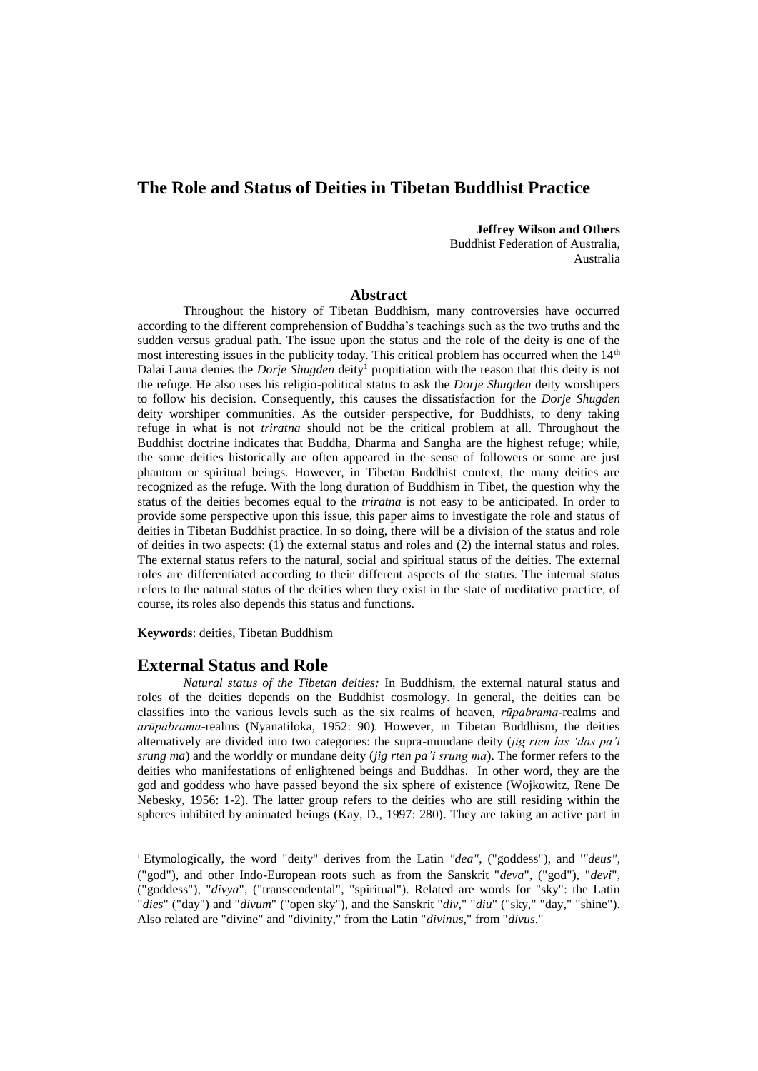# **The Role and Status of Deities in Tibetan Buddhist Practice**

#### **Jeffrey Wilson and Others**

Buddhist Federation of Australia, Australia

#### **Abstract**

Throughout the history of Tibetan Buddhism, many controversies have occurred according to the different comprehension of Buddha's teachings such as the two truths and the sudden versus gradual path. The issue upon the status and the role of the deity is one of the most interesting issues in the publicity today. This critical problem has occurred when the  $14<sup>th</sup>$ Dalai Lama denies the *Dorje Shugden* deity<sup>1</sup> propitiation with the reason that this deity is not the refuge. He also uses his religio-political status to ask the *Dorje Shugden* deity worshipers to follow his decision. Consequently, this causes the dissatisfaction for the *Dorje Shugden* deity worshiper communities. As the outsider perspective, for Buddhists, to deny taking refuge in what is not *triratna* should not be the critical problem at all. Throughout the Buddhist doctrine indicates that Buddha, Dharma and Sangha are the highest refuge; while, the some deities historically are often appeared in the sense of followers or some are just phantom or spiritual beings. However, in Tibetan Buddhist context, the many deities are recognized as the refuge. With the long duration of Buddhism in Tibet, the question why the status of the deities becomes equal to the *triratna* is not easy to be anticipated. In order to provide some perspective upon this issue, this paper aims to investigate the role and status of deities in Tibetan Buddhist practice. In so doing, there will be a division of the status and role of deities in two aspects: (1) the external status and roles and (2) the internal status and roles. The external status refers to the natural, social and spiritual status of the deities. The external roles are differentiated according to their different aspects of the status. The internal status refers to the natural status of the deities when they exist in the state of meditative practice, of course, its roles also depends this status and functions.

**Keywords**: deities, Tibetan Buddhism

#### **External Status and Role**

-

*Natural status of the Tibetan deities:* In Buddhism, the external natural status and roles of the deities depends on the Buddhist cosmology. In general, the deities can be classifies into the various levels such as the six realms of heaven, *rūpabrama*-realms and *arūpabrama*-realms (Nyanatiloka, 1952: 90). However, in Tibetan Buddhism, the deities alternatively are divided into two categories: the supra-mundane deity (*jig rten las 'das pa'i srung ma*) and the worldly or mundane deity (*jig rten pa'i srung ma*). The former refers to the deities who manifestations of enlightened beings and Buddhas. In other word, they are the god and goddess who have passed beyond the six sphere of existence (Wojkowitz, Rene De Nebesky, 1956: 1-2). The latter group refers to the deities who are still residing within the spheres inhibited by animated beings (Kay, D., 1997: 280). They are taking an active part in

<sup>1</sup> Etymologically, the word "deity" derives from the Latin *"dea"*, ("goddess"), and '*"deus"*, ("god"), and other Indo-European roots such as from the Sanskrit "*deva*", ("god"), "*devi*", ("goddess"), "*divya*", ("transcendental", "spiritual"). Related are words for "sky": the Latin "*dies*" ("day") and "*divum*" ("open sky"), and the Sanskrit "*div*," "*diu*" ("sky," "day," "shine"). Also related are "divine" and "divinity," from the Latin "*divinus*," from "*divus*."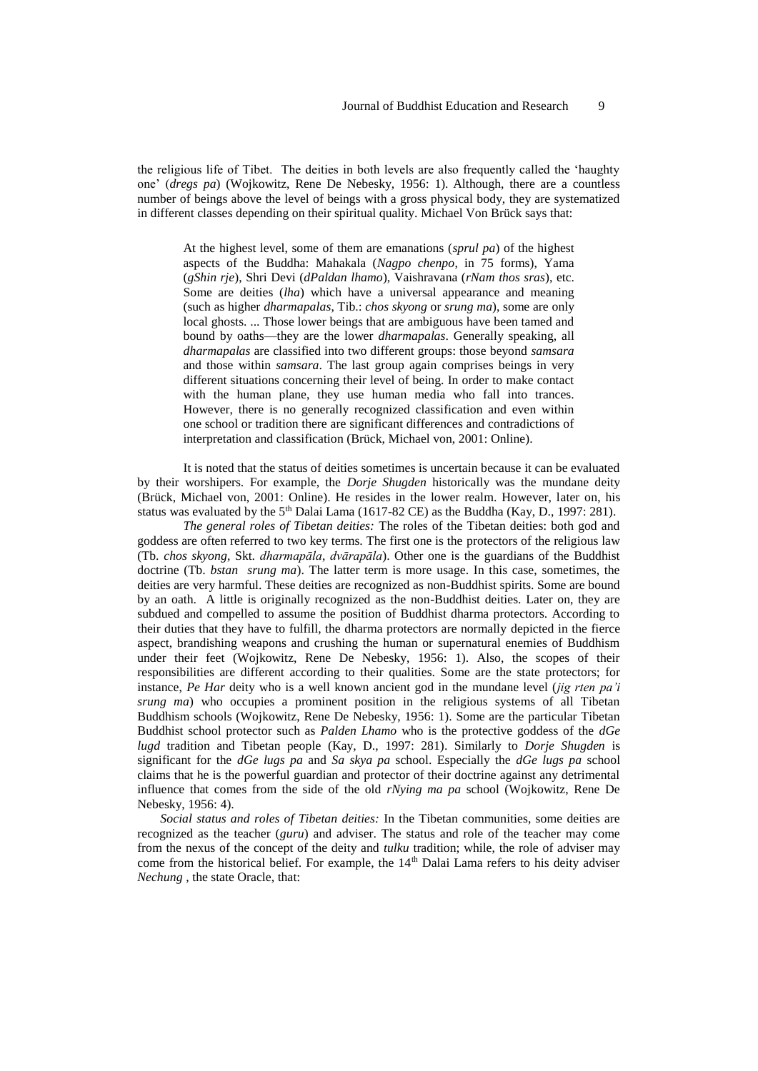the religious life of Tibet. The deities in both levels are also frequently called the 'haughty one' (*dregs pa*) (Wojkowitz, Rene De Nebesky, 1956: 1). Although, there are a countless number of beings above the level of beings with a gross physical body, they are systematized in different classes depending on their spiritual quality. Michael Von Brück says that:

At the highest level, some of them are emanations (*sprul pa*) of the highest aspects of the Buddha: Mahakala (*Nagpo chenpo*, in 75 forms), Yama (*gShin rje*), Shri Devi (*dPaldan lhamo*), Vaishravana (*rNam thos sras*), etc. Some are deities (*lha*) which have a universal appearance and meaning (such as higher *dharmapalas*, Tib.: *chos skyong* or *srung ma*), some are only local ghosts. ... Those lower beings that are ambiguous have been tamed and bound by oaths—they are the lower *dharmapalas*. Generally speaking, all *dharmapalas* are classified into two different groups: those beyond *samsara*  and those within *samsara*. The last group again comprises beings in very different situations concerning their level of being. In order to make contact with the human plane, they use human media who fall into trances. However, there is no generally recognized classification and even within one school or tradition there are significant differences and contradictions of interpretation and classification (Brück, Michael von, 2001: Online).

It is noted that the status of deities sometimes is uncertain because it can be evaluated by their worshipers. For example, the *Dorje Shugden* historically was the mundane deity (Brück, Michael von, 2001: Online). He resides in the lower realm. However, later on, his status was evaluated by the  $5<sup>th</sup>$  Dalai Lama (1617-82 CE) as the Buddha (Kay, D., 1997: 281).

*The general roles of Tibetan deities:* The roles of the Tibetan deities: both god and goddess are often referred to two key terms. The first one is the protectors of the religious law (Tb. *chos skyong*, Skt. *dharmapāla*, *dvārapāla*). Other one is the guardians of the Buddhist doctrine (Tb. *bstan srung ma*). The latter term is more usage. In this case, sometimes, the deities are very harmful. These deities are recognized as non-Buddhist spirits. Some are bound by an oath. A little is originally recognized as the non-Buddhist deities. Later on, they are subdued and compelled to assume the position of Buddhist dharma protectors. According to their duties that they have to fulfill, the dharma protectors are normally depicted in the fierce aspect, brandishing weapons and crushing the human or supernatural enemies of Buddhism under their feet (Wojkowitz, Rene De Nebesky, 1956: 1). Also, the scopes of their responsibilities are different according to their qualities. Some are the state protectors; for instance, *Pe Har* deity who is a well known ancient god in the mundane level (*jig rten pa'i srung ma*) who occupies a prominent position in the religious systems of all Tibetan Buddhism schools (Wojkowitz, Rene De Nebesky, 1956: 1). Some are the particular Tibetan Buddhist school protector such as *Palden Lhamo* who is the protective goddess of the *dGe lugd* tradition and Tibetan people (Kay, D., 1997: 281). Similarly to *Dorje Shugden* is significant for the *dGe lugs pa* and *Sa skya pa* school. Especially the *dGe lugs pa* school claims that he is the powerful guardian and protector of their doctrine against any detrimental influence that comes from the side of the old *rNying ma pa* school (Wojkowitz, Rene De Nebesky, 1956: 4).

*Social status and roles of Tibetan deities:* In the Tibetan communities, some deities are recognized as the teacher (*guru*) and adviser. The status and role of the teacher may come from the nexus of the concept of the deity and *tulku* tradition; while, the role of adviser may come from the historical belief. For example, the 14<sup>th</sup> Dalai Lama refers to his deity adviser *Nechung* , the state Oracle, that: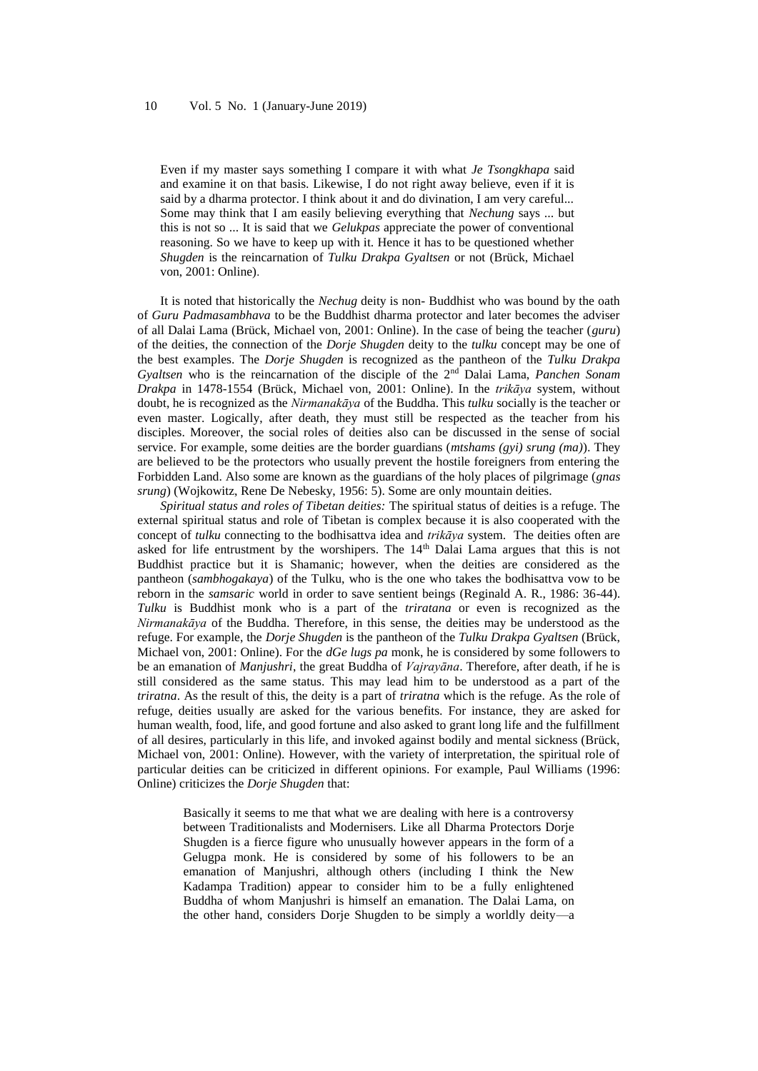Even if my master says something I compare it with what *Je Tsongkhapa* said and examine it on that basis. Likewise, I do not right away believe, even if it is said by a dharma protector. I think about it and do divination, I am very careful... Some may think that I am easily believing everything that *Nechung* says ... but this is not so ... It is said that we *Gelukpas* appreciate the power of conventional reasoning. So we have to keep up with it. Hence it has to be questioned whether *Shugden* is the reincarnation of *Tulku Drakpa Gyaltsen* or not (Brück, Michael von, 2001: Online).

It is noted that historically the *Nechug* deity is non- Buddhist who was bound by the oath of *Guru Padmasambhava* to be the Buddhist dharma protector and later becomes the adviser of all Dalai Lama (Brück, Michael von, 2001: Online). In the case of being the teacher (*guru*) of the deities, the connection of the *Dorje Shugden* deity to the *tulku* concept may be one of the best examples. The *Dorje Shugden* is recognized as the pantheon of the *Tulku Drakpa Gyaltsen* who is the reincarnation of the disciple of the 2<sup>nd</sup> Dalai Lama, *Panchen Sonam Drakpa* in 1478-1554 (Brück, Michael von, 2001: Online). In the *trikāya* system, without doubt, he is recognized as the *Nirmanakāya* of the Buddha. This *tulku* socially is the teacher or even master. Logically, after death, they must still be respected as the teacher from his disciples. Moreover, the social roles of deities also can be discussed in the sense of social service. For example, some deities are the border guardians (*mtshams (gyi) srung (ma)*). They are believed to be the protectors who usually prevent the hostile foreigners from entering the Forbidden Land. Also some are known as the guardians of the holy places of pilgrimage (*gnas srung*) (Wojkowitz, Rene De Nebesky, 1956: 5). Some are only mountain deities.

*Spiritual status and roles of Tibetan deities:* The spiritual status of deities is a refuge. The external spiritual status and role of Tibetan is complex because it is also cooperated with the concept of *tulku* connecting to the bodhisattva idea and *trikāya* system. The deities often are asked for life entrustment by the worshipers. The 14<sup>th</sup> Dalai Lama argues that this is not Buddhist practice but it is Shamanic; however, when the deities are considered as the pantheon (*sambhogakaya*) of the Tulku, who is the one who takes the bodhisattva vow to be reborn in the *samsaric* world in order to save sentient beings (Reginald A. R., 1986: 36-44). *Tulku* is Buddhist monk who is a part of the *triratana* or even is recognized as the *Nirmanakāya* of the Buddha. Therefore, in this sense, the deities may be understood as the refuge. For example, the *Dorje Shugden* is the pantheon of the *Tulku Drakpa Gyaltsen* (Brück, Michael von, 2001: Online). For the *dGe lugs pa* monk, he is considered by some followers to be an emanation of *Manjushri*, the great Buddha of *Vajrayāna*. Therefore, after death, if he is still considered as the same status. This may lead him to be understood as a part of the *triratna*. As the result of this, the deity is a part of *triratna* which is the refuge. As the role of refuge, deities usually are asked for the various benefits. For instance, they are asked for human wealth, food, life, and good fortune and also asked to grant long life and the fulfillment of all desires, particularly in this life, and invoked against bodily and mental sickness (Brück, Michael von, 2001: Online). However, with the variety of interpretation, the spiritual role of particular deities can be criticized in different opinions. For example, Paul Williams (1996: Online) criticizes the *Dorje Shugden* that:

Basically it seems to me that what we are dealing with here is a controversy between Traditionalists and Modernisers. Like all Dharma Protectors Dorje Shugden is a fierce figure who unusually however appears in the form of a Gelugpa monk. He is considered by some of his followers to be an emanation of Manjushri, although others (including I think the New Kadampa Tradition) appear to consider him to be a fully enlightened Buddha of whom Manjushri is himself an emanation. The Dalai Lama, on the other hand, considers Dorje Shugden to be simply a worldly deity—a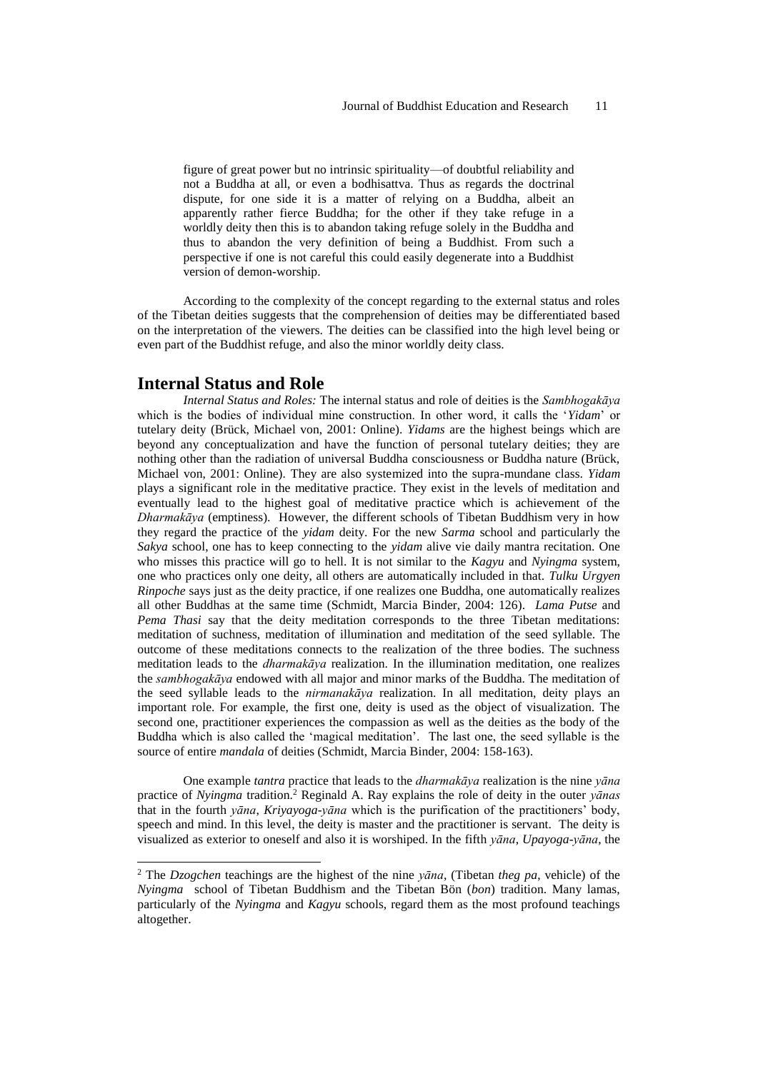figure of great power but no intrinsic spirituality—of doubtful reliability and not a Buddha at all, or even a bodhisattva. Thus as regards the doctrinal dispute, for one side it is a matter of relying on a Buddha, albeit an apparently rather fierce Buddha; for the other if they take refuge in a worldly deity then this is to abandon taking refuge solely in the Buddha and thus to abandon the very definition of being a Buddhist. From such a perspective if one is not careful this could easily degenerate into a Buddhist version of demon-worship.

According to the complexity of the concept regarding to the external status and roles of the Tibetan deities suggests that the comprehension of deities may be differentiated based on the interpretation of the viewers. The deities can be classified into the high level being or even part of the Buddhist refuge, and also the minor worldly deity class.

### **Internal Status and Role**

-

*Internal Status and Roles:* The internal status and role of deities is the *Sambhogakāya* which is the bodies of individual mine construction. In other word, it calls the '*Yidam*' or tutelary deity (Brück, Michael von, 2001: Online). *Yidams* are the highest beings which are beyond any conceptualization and have the function of personal tutelary deities; they are nothing other than the radiation of universal Buddha consciousness or Buddha nature (Brück, Michael von, 2001: Online). They are also systemized into the supra-mundane class. *Yidam* plays a significant role in the meditative practice. They exist in the levels of meditation and eventually lead to the highest goal of meditative practice which is achievement of the *Dharmakāya* (emptiness). However, the different schools of Tibetan Buddhism very in how they regard the practice of the *yidam* deity. For the new *Sarma* school and particularly the *Sakya* school, one has to keep connecting to the *yidam* alive vie daily mantra recitation. One who misses this practice will go to hell. It is not similar to the *Kagyu* and *Nyingma* system, one who practices only one deity, all others are automatically included in that. *Tulku Urgyen Rinpoche* says just as the deity practice, if one realizes one Buddha, one automatically realizes all other Buddhas at the same time (Schmidt, Marcia Binder, 2004: 126). *Lama Putse* and *Pema Thasi* say that the deity meditation corresponds to the three Tibetan meditations: meditation of suchness, meditation of illumination and meditation of the seed syllable. The outcome of these meditations connects to the realization of the three bodies. The suchness meditation leads to the *dharmakāya* realization. In the illumination meditation, one realizes the *sambhogakāya* endowed with all major and minor marks of the Buddha. The meditation of the seed syllable leads to the *nirmanakāya* realization. In all meditation, deity plays an important role. For example, the first one, deity is used as the object of visualization. The second one, practitioner experiences the compassion as well as the deities as the body of the Buddha which is also called the 'magical meditation'. The last one, the seed syllable is the source of entire *mandala* of deities (Schmidt, Marcia Binder, 2004: 158-163).

One example *tantra* practice that leads to the *dharmakāya* realization is the nine *yāna* practice of *Nyingma* tradition.<sup>2</sup> Reginald A. Ray explains the role of deity in the outer *yānas* that in the fourth *yāna*, *Kriyayoga*-*yāna* which is the purification of the practitioners' body, speech and mind. In this level, the deity is master and the practitioner is servant. The deity is visualized as exterior to oneself and also it is worshiped. In the fifth *yāna*, *Upayoga*-*yāna*, the

<sup>2</sup> The *Dzogchen* teachings are the highest of the nine *yāna*, (Tibetan *theg pa*, vehicle) of the *Nyingma* school of Tibetan Buddhism and the Tibetan Bön (*bon*) tradition. Many lamas, particularly of the *Nyingma* and *Kagyu* schools, regard them as the most profound teachings altogether.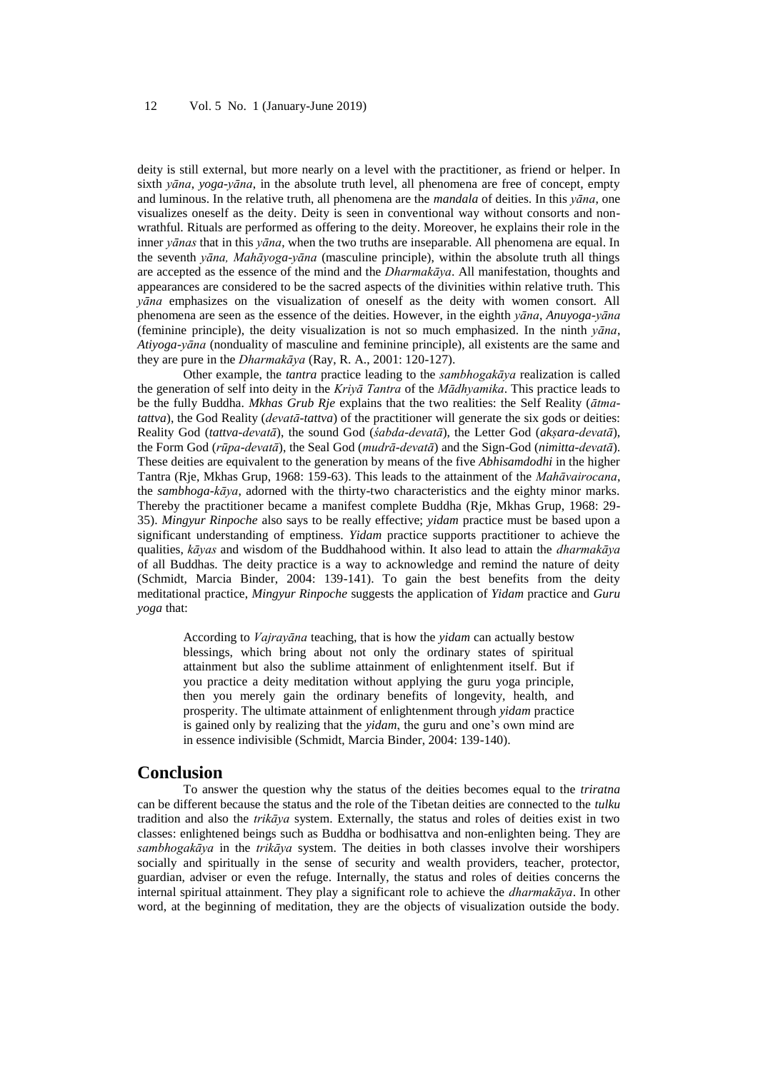deity is still external, but more nearly on a level with the practitioner, as friend or helper. In sixth *yāna*, *yoga*-*yāna*, in the absolute truth level, all phenomena are free of concept, empty and luminous. In the relative truth, all phenomena are the *mandala* of deities. In this *yāna*, one visualizes oneself as the deity. Deity is seen in conventional way without consorts and nonwrathful. Rituals are performed as offering to the deity. Moreover, he explains their role in the inner *yānas* that in this *yāna*, when the two truths are inseparable. All phenomena are equal. In the seventh *yāna, Mahāyoga-yāna* (masculine principle), within the absolute truth all things are accepted as the essence of the mind and the *Dharmakāya*. All manifestation, thoughts and appearances are considered to be the sacred aspects of the divinities within relative truth. This *yāna* emphasizes on the visualization of oneself as the deity with women consort. All phenomena are seen as the essence of the deities. However, in the eighth *yāna*, *Anuyoga-yāna* (feminine principle), the deity visualization is not so much emphasized. In the ninth *yāna*, *Atiyoga-yāna* (nonduality of masculine and feminine principle), all existents are the same and they are pure in the *Dharmakāya* (Ray, R. A., 2001: 120-127).

Other example, the *tantra* practice leading to the *sambhogakāya* realization is called the generation of self into deity in the *Kriyā Tantra* of the *Mādhyamika*. This practice leads to be the fully Buddha. *Mkhas Grub Rje* explains that the two realities: the Self Reality (*ātmatattva*), the God Reality (*devatā-tattva*) of the practitioner will generate the six gods or deities: Reality God (*tattva-devatā*), the sound God (*śabda-devatā*), the Letter God (*akṣara-devatā*), the Form God (*rūpa-devatā*), the Seal God (*mudrā-devatā*) and the Sign-God (*nimitta-devatā*). These deities are equivalent to the generation by means of the five *Abhisamdodhi* in the higher Tantra (Rje, Mkhas Grup, 1968: 159-63). This leads to the attainment of the *Mahāvairocana*, the *sambhoga-kāya*, adorned with the thirty-two characteristics and the eighty minor marks. Thereby the practitioner became a manifest complete Buddha (Rje, Mkhas Grup, 1968: 29- 35). *Mingyur Rinpoche* also says to be really effective; *yidam* practice must be based upon a significant understanding of emptiness. *Yidam* practice supports practitioner to achieve the qualities, *kāyas* and wisdom of the Buddhahood within. It also lead to attain the *dharmakāya* of all Buddhas. The deity practice is a way to acknowledge and remind the nature of deity (Schmidt, Marcia Binder, 2004: 139-141). To gain the best benefits from the deity meditational practice, *Mingyur Rinpoche* suggests the application of *Yidam* practice and *Guru yoga* that:

According to *Vajrayāna* teaching, that is how the *yidam* can actually bestow blessings, which bring about not only the ordinary states of spiritual attainment but also the sublime attainment of enlightenment itself. But if you practice a deity meditation without applying the guru yoga principle, then you merely gain the ordinary benefits of longevity, health, and prosperity. The ultimate attainment of enlightenment through *yidam* practice is gained only by realizing that the *yidam*, the guru and one's own mind are in essence indivisible (Schmidt, Marcia Binder, 2004: 139-140).

### **Conclusion**

To answer the question why the status of the deities becomes equal to the *triratna*  can be different because the status and the role of the Tibetan deities are connected to the *tulku* tradition and also the *trikāya* system. Externally, the status and roles of deities exist in two classes: enlightened beings such as Buddha or bodhisattva and non-enlighten being. They are *sambhogakāya* in the *trikāya* system. The deities in both classes involve their worshipers socially and spiritually in the sense of security and wealth providers, teacher, protector, guardian, adviser or even the refuge. Internally, the status and roles of deities concerns the internal spiritual attainment. They play a significant role to achieve the *dharmakāya*. In other word, at the beginning of meditation, they are the objects of visualization outside the body.